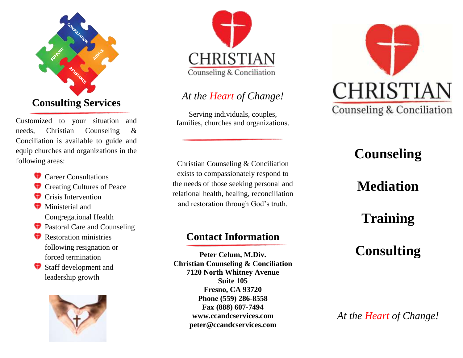

Customized to your situation and needs, Christian Counseling & Conciliation is available to guide and equip churches and organizations in the following areas:

- **Career Consultations**
- **Creating Cultures of Peace**
- **Crisis Intervention**
- **W** Ministerial and Congregational Health
- **Pastoral Care and Counseling**
- Restoration ministries following resignation or forced termination
- Staff development and leadership growth





#### *At the Heart of Change!*

Serving individuals, couples, families, churches and organizations.

Christian Counseling & Conciliation exists to compassionately respond to the needs of those seeking personal and relational health, healing, reconciliation and restoration through God's truth.

#### **Contact Information**

**Peter Celum, M.Div. Christian Counseling & Conciliation 7120 North Whitney Avenue Suite 105 Fresno, CA 93720 Phone (559) 286-8558 Fax (888) 607-7494 www.ccandcservices.com peter@ccandcservices.com**



# **Counseling**

# **Mediation**

# **Training**

# **Consulting**

*At the Heart of Change!*